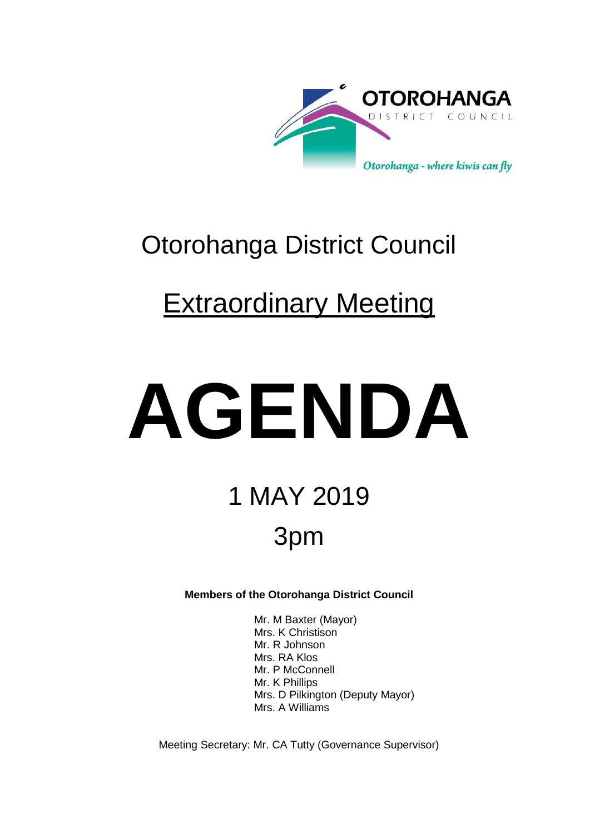

## Otorohanga District Council

## **Extraordinary Meeting**

# **AGENDA**

## 1 MAY 2019 3pm

**Members of the Otorohanga District Council**

Mr. M Baxter (Mayor) Mrs. K Christison Mr. R Johnson Mrs. RA Klos Mr. P McConnell Mr. K Phillips Mrs. D Pilkington (Deputy Mayor) Mrs. A Williams

Meeting Secretary: Mr. CA Tutty (Governance Supervisor)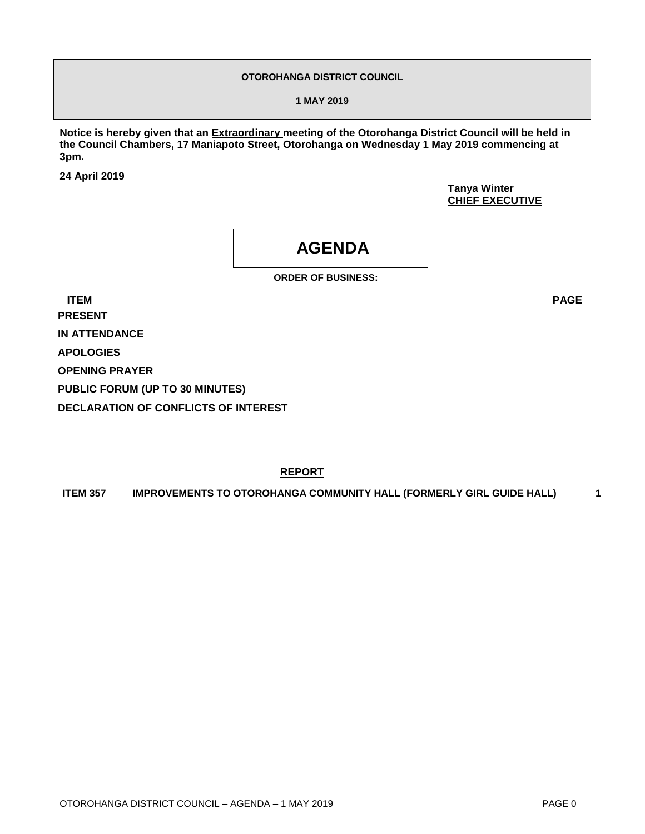#### **OTOROHANGA DISTRICT COUNCIL**

**1 MAY 2019**

**Notice is hereby given that an Extraordinary meeting of the Otorohanga District Council will be held in the Council Chambers, 17 Maniapoto Street, Otorohanga on Wednesday 1 May 2019 commencing at 3pm.** 

**24 April 2019**

**Tanya Winter CHIEF EXECUTIVE**

### **AGENDA**

**ORDER OF BUSINESS:**

**ITEM PAGE PRESENT IN ATTENDANCE APOLOGIES OPENING PRAYER PUBLIC FORUM (UP TO 30 MINUTES) DECLARATION OF CONFLICTS OF INTEREST**

**REPORT**

**ITEM 357 IMPROVEMENTS TO OTOROHANGA COMMUNITY HALL (FORMERLY GIRL GUIDE HALL) 1**